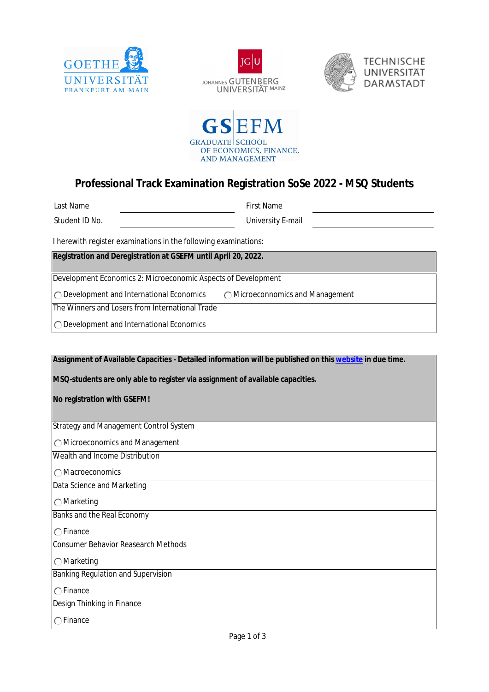







## **Professional Track Examination Registration SoSe 2022 - MSQ Students**

First Name

Student ID No.

University E-mail

I herewith register examinations in the following examinations:

**Registration and Deregistration at GSEFM until April 20, 2022.** 

Development Economics 2: Microeconomic Aspects of Development

O Development and International Economics

Microeconnomics and Management

The Winners and Losers from International Trade

O Development and International Economics

**Assignment of Available Capacities - Detailed information will be published on this [website](https://www.wiwi.uni-frankfurt.de/en/study/students/exam-organisation/exam-information/assignment-of-available-capacities.html) in due time.** 

**MSQ-students are only able to register via assignment of available capacities.** 

**No registration with GSEFM!**

Strategy and Management Control System

Microeconomics and Management

Wealth and Income Distribution

Macroeconomics

Data Science and Marketing

Marketing

Banks and the Real Economy

 $\bigcap$  Finance

Consumer Behavior Reasearch Methods

Marketing

Banking Regulation and Supervision

 $\cap$ Finance

Design Thinking in Finance

 $\bigcap$  Finance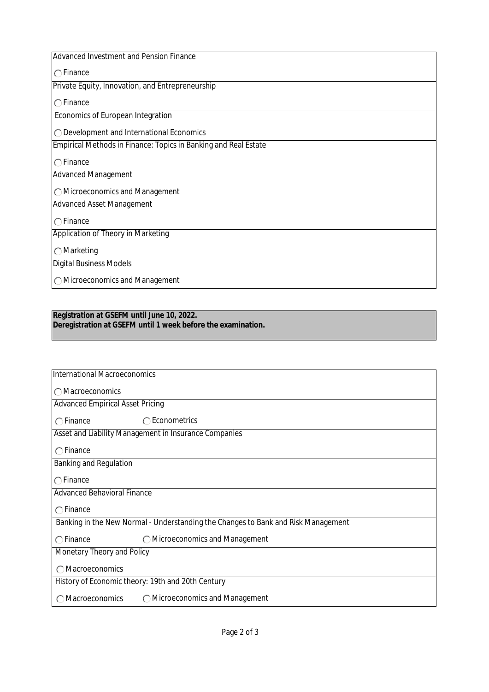| Advanced Investment and Pension Finance                         |  |
|-----------------------------------------------------------------|--|
| $\bigcap$ Finance                                               |  |
| Private Equity, Innovation, and Entrepreneurship                |  |
| $\bigcap$ Finance                                               |  |
| Economics of European Integration                               |  |
| ◯ Development and International Economics                       |  |
| Empirical Methods in Finance: Topics in Banking and Real Estate |  |
| $\bigcap$ Finance                                               |  |
| Advanced Management                                             |  |
| ◯ Microeconomics and Management                                 |  |
| <b>Advanced Asset Management</b>                                |  |
| $\bigcap$ Finance                                               |  |
| Application of Theory in Marketing                              |  |
| $\bigcirc$ Marketing                                            |  |
| <b>Digital Business Models</b>                                  |  |
| ◯ Microeconomics and Management                                 |  |

## **Registration at GSEFM until June 10, 2022. Deregistration at GSEFM until 1 week before the examination.**

| International Macroeconomics                                                      |                                 |  |
|-----------------------------------------------------------------------------------|---------------------------------|--|
| ◯ Macroeconomics                                                                  |                                 |  |
| <b>Advanced Empirical Asset Pricing</b>                                           |                                 |  |
| $\bigcap$ Finance                                                                 | $\bigcap$ Econometrics          |  |
| Asset and Liability Management in Insurance Companies                             |                                 |  |
| $\bigcap$ Finance                                                                 |                                 |  |
| Banking and Regulation                                                            |                                 |  |
| $\bigcap$ Finance                                                                 |                                 |  |
| <b>Advanced Behavioral Finance</b>                                                |                                 |  |
| $\bigcap$ Finance                                                                 |                                 |  |
| Banking in the New Normal - Understanding the Changes to Bank and Risk Management |                                 |  |
| $\bigcap$ Finance                                                                 | O Microeconomics and Management |  |
| Monetary Theory and Policy                                                        |                                 |  |
| ◯ Macroeconomics                                                                  |                                 |  |
| History of Economic theory: 19th and 20th Century                                 |                                 |  |
| <b>Macroeconomics</b>                                                             | ◯ Microeconomics and Management |  |